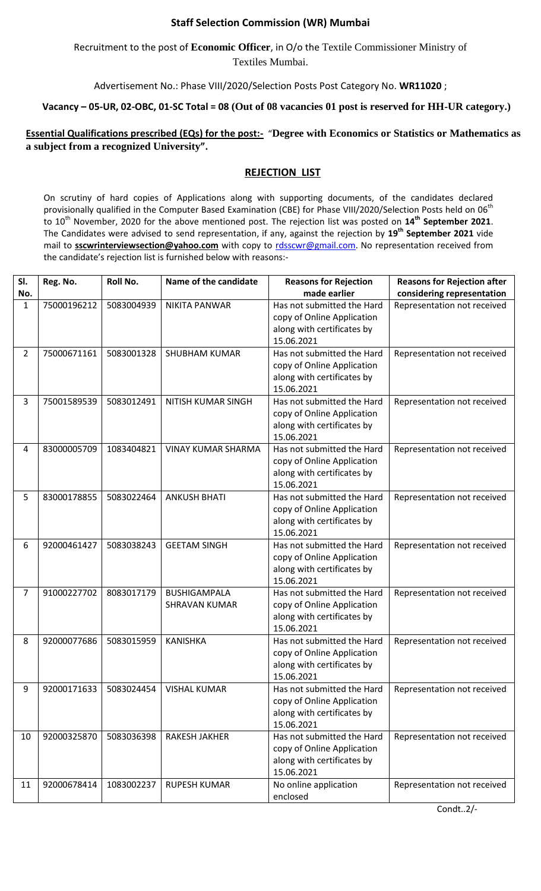## **Staff Selection Commission (WR) Mumbai**

Recruitment to the post of **Economic Officer**, in O/o the Textile Commissioner Ministry of Textiles Mumbai.

Advertisement No.: Phase VIII/2020/Selection Posts Post Category No. **WR11020** ;

## **Vacancy – 05-UR, 02-OBC, 01-SC Total = 08 (Out of 08 vacancies 01 post is reserved for HH-UR category.)**

## **Essential Qualifications prescribed (EQs) for the post:-** "Degree with Economics or Statistics or Mathematics as **a subject from a recognized University".**

## **REJECTION LIST**

On scrutiny of hard copies of Applications along with supporting documents, of the candidates declared provisionally qualified in the Computer Based Examination (CBE) for Phase VIII/2020/Selection Posts held on 06<sup>th</sup> to 10th November, 2020 for the above mentioned post. The rejection list was posted on **14th September 2021**. The Candidates were advised to send representation, if any, against the rejection by **19 th September 2021** vide mail to **sscwrinterviewsection@yahoo.com** with copy to [rdsscwr@gmail.com.](mailto:rdsscwr@gmail.com) No representation received from the candidate's rejection list is furnished below with reasons:-

| SI.            | Reg. No.    | Roll No.   | Name of the candidate     | <b>Reasons for Rejection</b>                             | <b>Reasons for Rejection after</b> |
|----------------|-------------|------------|---------------------------|----------------------------------------------------------|------------------------------------|
| No.            |             |            |                           | made earlier                                             | considering representation         |
| $\mathbf{1}$   | 75000196212 | 5083004939 | <b>NIKITA PANWAR</b>      | Has not submitted the Hard<br>copy of Online Application | Representation not received        |
|                |             |            |                           | along with certificates by                               |                                    |
|                |             |            |                           | 15.06.2021                                               |                                    |
| $\overline{2}$ | 75000671161 | 5083001328 | <b>SHUBHAM KUMAR</b>      | Has not submitted the Hard                               | Representation not received        |
|                |             |            |                           | copy of Online Application                               |                                    |
|                |             |            |                           | along with certificates by                               |                                    |
|                |             | 5083012491 | NITISH KUMAR SINGH        | 15.06.2021<br>Has not submitted the Hard                 |                                    |
| 3              | 75001589539 |            |                           | copy of Online Application                               | Representation not received        |
|                |             |            |                           | along with certificates by                               |                                    |
|                |             |            |                           | 15.06.2021                                               |                                    |
| 4              | 83000005709 | 1083404821 | <b>VINAY KUMAR SHARMA</b> | Has not submitted the Hard                               | Representation not received        |
|                |             |            |                           | copy of Online Application                               |                                    |
|                |             |            |                           | along with certificates by                               |                                    |
|                |             |            |                           | 15.06.2021                                               |                                    |
| 5              | 83000178855 | 5083022464 | <b>ANKUSH BHATI</b>       | Has not submitted the Hard                               | Representation not received        |
|                |             |            |                           | copy of Online Application                               |                                    |
|                |             |            |                           | along with certificates by                               |                                    |
|                |             |            |                           | 15.06.2021                                               |                                    |
| 6              | 92000461427 | 5083038243 | <b>GEETAM SINGH</b>       | Has not submitted the Hard                               | Representation not received        |
|                |             |            |                           | copy of Online Application<br>along with certificates by |                                    |
|                |             |            |                           | 15.06.2021                                               |                                    |
| $\overline{7}$ | 91000227702 | 8083017179 | <b>BUSHIGAMPALA</b>       | Has not submitted the Hard                               | Representation not received        |
|                |             |            | <b>SHRAVAN KUMAR</b>      | copy of Online Application                               |                                    |
|                |             |            |                           | along with certificates by                               |                                    |
|                |             |            |                           | 15.06.2021                                               |                                    |
| 8              | 92000077686 | 5083015959 | <b>KANISHKA</b>           | Has not submitted the Hard                               | Representation not received        |
|                |             |            |                           | copy of Online Application                               |                                    |
|                |             |            |                           | along with certificates by                               |                                    |
|                |             |            |                           | 15.06.2021                                               |                                    |
| 9              | 92000171633 | 5083024454 | <b>VISHAL KUMAR</b>       | Has not submitted the Hard                               | Representation not received        |
|                |             |            |                           | copy of Online Application<br>along with certificates by |                                    |
|                |             |            |                           | 15.06.2021                                               |                                    |
| 10             | 92000325870 | 5083036398 | <b>RAKESH JAKHER</b>      | Has not submitted the Hard                               | Representation not received        |
|                |             |            |                           | copy of Online Application                               |                                    |
|                |             |            |                           | along with certificates by                               |                                    |
|                |             |            |                           | 15.06.2021                                               |                                    |
| 11             | 92000678414 | 1083002237 | <b>RUPESH KUMAR</b>       | No online application                                    | Representation not received        |
|                |             |            |                           | enclosed                                                 |                                    |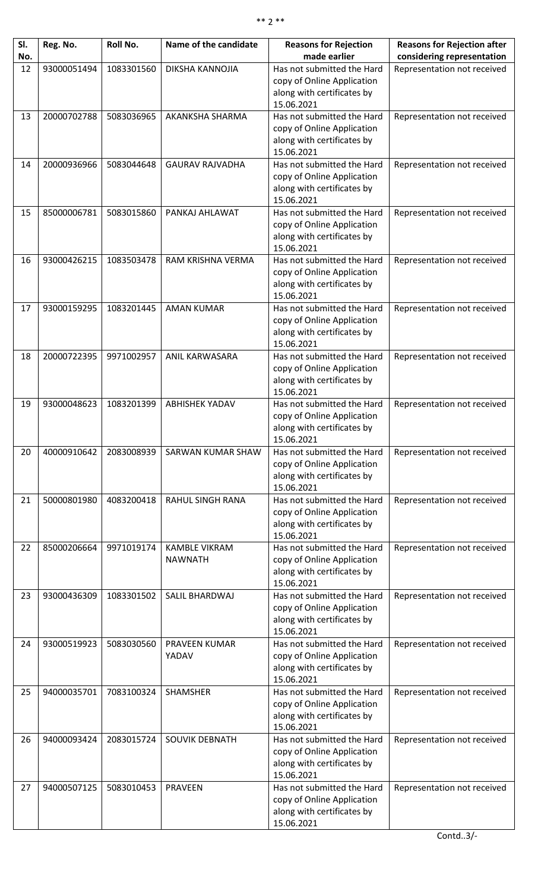| SI.<br>No. | Reg. No.    | Roll No.   | Name of the candidate   | <b>Reasons for Rejection</b><br>made earlier             | <b>Reasons for Rejection after</b><br>considering representation |
|------------|-------------|------------|-------------------------|----------------------------------------------------------|------------------------------------------------------------------|
| 12         | 93000051494 | 1083301560 | DIKSHA KANNOJIA         | Has not submitted the Hard                               | Representation not received                                      |
|            |             |            |                         | copy of Online Application                               |                                                                  |
|            |             |            |                         | along with certificates by<br>15.06.2021                 |                                                                  |
| 13         | 20000702788 | 5083036965 | AKANKSHA SHARMA         | Has not submitted the Hard                               | Representation not received                                      |
|            |             |            |                         | copy of Online Application<br>along with certificates by |                                                                  |
|            |             |            |                         | 15.06.2021                                               |                                                                  |
| 14         | 20000936966 | 5083044648 | <b>GAURAV RAJVADHA</b>  | Has not submitted the Hard                               | Representation not received                                      |
|            |             |            |                         | copy of Online Application                               |                                                                  |
|            |             |            |                         | along with certificates by<br>15.06.2021                 |                                                                  |
| 15         | 85000006781 | 5083015860 | PANKAJ AHLAWAT          | Has not submitted the Hard                               | Representation not received                                      |
|            |             |            |                         | copy of Online Application                               |                                                                  |
|            |             |            |                         | along with certificates by                               |                                                                  |
| 16         | 93000426215 | 1083503478 | RAM KRISHNA VERMA       | 15.06.2021<br>Has not submitted the Hard                 | Representation not received                                      |
|            |             |            |                         | copy of Online Application                               |                                                                  |
|            |             |            |                         | along with certificates by                               |                                                                  |
|            |             |            |                         | 15.06.2021                                               |                                                                  |
| 17         | 93000159295 | 1083201445 | <b>AMAN KUMAR</b>       | Has not submitted the Hard                               | Representation not received                                      |
|            |             |            |                         | copy of Online Application<br>along with certificates by |                                                                  |
|            |             |            |                         | 15.06.2021                                               |                                                                  |
| 18         | 20000722395 | 9971002957 | ANIL KARWASARA          | Has not submitted the Hard                               | Representation not received                                      |
|            |             |            |                         | copy of Online Application                               |                                                                  |
|            |             |            |                         | along with certificates by<br>15.06.2021                 |                                                                  |
| 19         | 93000048623 | 1083201399 | <b>ABHISHEK YADAV</b>   | Has not submitted the Hard                               | Representation not received                                      |
|            |             |            |                         | copy of Online Application                               |                                                                  |
|            |             |            |                         | along with certificates by                               |                                                                  |
| 20         | 40000910642 | 2083008939 | SARWAN KUMAR SHAW       | 15.06.2021<br>Has not submitted the Hard                 | Representation not received                                      |
|            |             |            |                         | copy of Online Application                               |                                                                  |
|            |             |            |                         | along with certificates by                               |                                                                  |
|            |             |            |                         | 15.06.2021                                               |                                                                  |
| 21         | 50000801980 | 4083200418 | <b>RAHUL SINGH RANA</b> | Has not submitted the Hard<br>copy of Online Application | Representation not received                                      |
|            |             |            |                         | along with certificates by                               |                                                                  |
|            |             |            |                         | 15.06.2021                                               |                                                                  |
| 22         | 85000206664 | 9971019174 | <b>KAMBLE VIKRAM</b>    | Has not submitted the Hard                               | Representation not received                                      |
|            |             |            | <b>NAWNATH</b>          | copy of Online Application<br>along with certificates by |                                                                  |
|            |             |            |                         | 15.06.2021                                               |                                                                  |
| 23         | 93000436309 | 1083301502 | SALIL BHARDWAJ          | Has not submitted the Hard                               | Representation not received                                      |
|            |             |            |                         | copy of Online Application                               |                                                                  |
|            |             |            |                         | along with certificates by<br>15.06.2021                 |                                                                  |
| 24         | 93000519923 | 5083030560 | PRAVEEN KUMAR           | Has not submitted the Hard                               | Representation not received                                      |
|            |             |            | YADAV                   | copy of Online Application                               |                                                                  |
|            |             |            |                         | along with certificates by                               |                                                                  |
| 25         | 94000035701 | 7083100324 | SHAMSHER                | 15.06.2021<br>Has not submitted the Hard                 | Representation not received                                      |
|            |             |            |                         | copy of Online Application                               |                                                                  |
|            |             |            |                         | along with certificates by                               |                                                                  |
|            |             |            |                         | 15.06.2021                                               |                                                                  |
| 26         | 94000093424 | 2083015724 | SOUVIK DEBNATH          | Has not submitted the Hard<br>copy of Online Application | Representation not received                                      |
|            |             |            |                         | along with certificates by                               |                                                                  |
|            |             |            |                         | 15.06.2021                                               |                                                                  |
| 27         | 94000507125 | 5083010453 | <b>PRAVEEN</b>          | Has not submitted the Hard                               | Representation not received                                      |
|            |             |            |                         | copy of Online Application<br>along with certificates by |                                                                  |
|            |             |            |                         | 15.06.2021                                               |                                                                  |
|            |             |            |                         |                                                          |                                                                  |